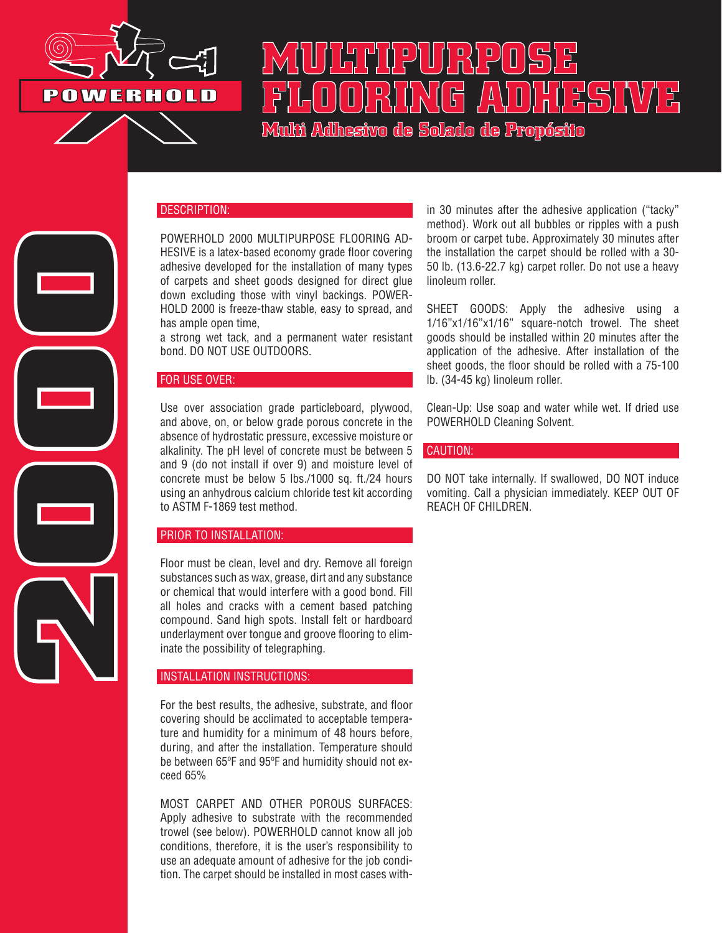

2000

# **MULTIPURPOSE FLOORING ADHESIVE Multi Adhesivo de Solado de Propósito**

## DESCRIPTION:

POWERHOLD 2000 MULTIPURPOSE FLOORING AD-HESIVE is a latex-based economy grade floor covering adhesive developed for the installation of many types of carpets and sheet goods designed for direct glue down excluding those with vinyl backings. POWER-HOLD 2000 is freeze-thaw stable, easy to spread, and has ample open time,

a strong wet tack, and a permanent water resistant bond. DO NOT USE OUTDOORS.

#### FOR USE OVER:

Use over association grade particleboard, plywood, and above, on, or below grade porous concrete in the absence of hydrostatic pressure, excessive moisture or alkalinity. The pH level of concrete must be between 5 and 9 (do not install if over 9) and moisture level of concrete must be below 5 lbs./1000 sq. ft./24 hours using an anhydrous calcium chloride test kit according to ASTM F-1869 test method.

#### PRIOR TO INSTALLATION:

Floor must be clean, level and dry. Remove all foreign substances such as wax, grease, dirt and any substance or chemical that would interfere with a good bond. Fill all holes and cracks with a cement based patching compound. Sand high spots. Install felt or hardboard underlayment over tongue and groove flooring to eliminate the possibility of telegraphing.

### INSTALLATION INSTRUCTIONS:

For the best results, the adhesive, substrate, and floor covering should be acclimated to acceptable temperature and humidity for a minimum of 48 hours before, during, and after the installation. Temperature should be between 65ºF and 95ºF and humidity should not exceed 65%

MOST CARPET AND OTHER POROUS SURFACES: Apply adhesive to substrate with the recommended trowel (see below). POWERHOLD cannot know all job conditions, therefore, it is the user's responsibility to use an adequate amount of adhesive for the job condition. The carpet should be installed in most cases within 30 minutes after the adhesive application ("tacky" method). Work out all bubbles or ripples with a push broom or carpet tube. Approximately 30 minutes after the installation the carpet should be rolled with a 30- 50 lb. (13.6-22.7 kg) carpet roller. Do not use a heavy linoleum roller.

SHEET GOODS: Apply the adhesive using a 1/16"x1/16"x1/16" square-notch trowel. The sheet goods should be installed within 20 minutes after the application of the adhesive. After installation of the sheet goods, the floor should be rolled with a 75-100 lb. (34-45 kg) linoleum roller.

Clean-Up: Use soap and water while wet. If dried use POWERHOLD Cleaning Solvent.

#### CAUTION:

DO NOT take internally. If swallowed, DO NOT induce vomiting. Call a physician immediately. KEEP OUT OF REACH OF CHILDREN.